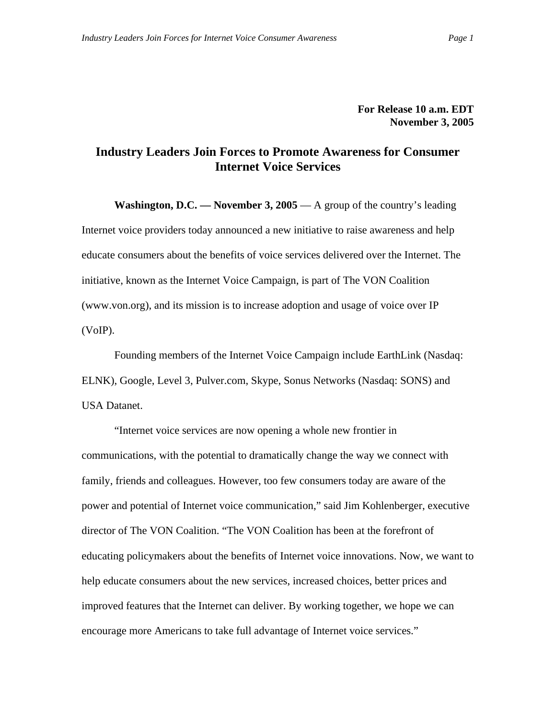**For Release 10 a.m. EDT November 3, 2005** 

## **Industry Leaders Join Forces to Promote Awareness for Consumer Internet Voice Services**

**Washington, D.C. — November 3, 2005** — A group of the country's leading Internet voice providers today announced a new initiative to raise awareness and help educate consumers about the benefits of voice services delivered over the Internet. The initiative, known as the Internet Voice Campaign, is part of The VON Coalition (www.von.org), and its mission is to increase adoption and usage of voice over IP (VoIP).

Founding members of the Internet Voice Campaign include EarthLink (Nasdaq: ELNK), Google, Level 3, Pulver.com, Skype, Sonus Networks (Nasdaq: SONS) and USA Datanet.

"Internet voice services are now opening a whole new frontier in communications, with the potential to dramatically change the way we connect with family, friends and colleagues. However, too few consumers today are aware of the power and potential of Internet voice communication," said Jim Kohlenberger, executive director of The VON Coalition. "The VON Coalition has been at the forefront of educating policymakers about the benefits of Internet voice innovations. Now, we want to help educate consumers about the new services, increased choices, better prices and improved features that the Internet can deliver. By working together, we hope we can encourage more Americans to take full advantage of Internet voice services."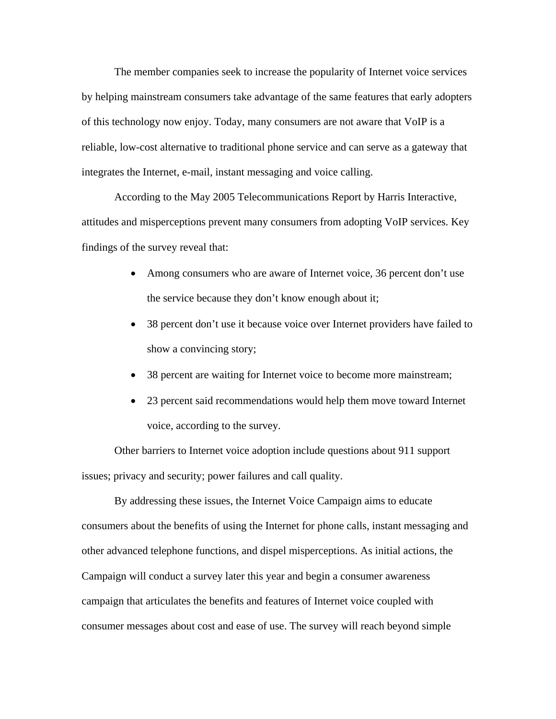The member companies seek to increase the popularity of Internet voice services by helping mainstream consumers take advantage of the same features that early adopters of this technology now enjoy. Today, many consumers are not aware that VoIP is a reliable, low-cost alternative to traditional phone service and can serve as a gateway that integrates the Internet, e-mail, instant messaging and voice calling.

According to the May 2005 Telecommunications Report by Harris Interactive, attitudes and misperceptions prevent many consumers from adopting VoIP services. Key findings of the survey reveal that:

- Among consumers who are aware of Internet voice, 36 percent don't use the service because they don't know enough about it;
- 38 percent don't use it because voice over Internet providers have failed to show a convincing story;
- 38 percent are waiting for Internet voice to become more mainstream;
- 23 percent said recommendations would help them move toward Internet voice, according to the survey.

Other barriers to Internet voice adoption include questions about 911 support issues; privacy and security; power failures and call quality.

By addressing these issues, the Internet Voice Campaign aims to educate consumers about the benefits of using the Internet for phone calls, instant messaging and other advanced telephone functions, and dispel misperceptions. As initial actions, the Campaign will conduct a survey later this year and begin a consumer awareness campaign that articulates the benefits and features of Internet voice coupled with consumer messages about cost and ease of use. The survey will reach beyond simple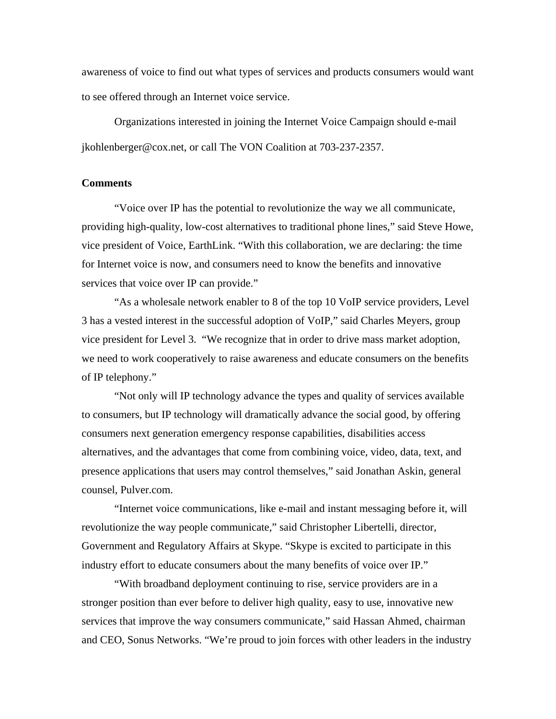awareness of voice to find out what types of services and products consumers would want to see offered through an Internet voice service.

Organizations interested in joining the Internet Voice Campaign should e-mail jkohlenberger@cox.net, or call The VON Coalition at 703-237-2357.

## **Comments**

"Voice over IP has the potential to revolutionize the way we all communicate, providing high-quality, low-cost alternatives to traditional phone lines," said Steve Howe, vice president of Voice, EarthLink. "With this collaboration, we are declaring: the time for Internet voice is now, and consumers need to know the benefits and innovative services that voice over IP can provide."

"As a wholesale network enabler to 8 of the top 10 VoIP service providers, Level 3 has a vested interest in the successful adoption of VoIP," said Charles Meyers, group vice president for Level 3. "We recognize that in order to drive mass market adoption, we need to work cooperatively to raise awareness and educate consumers on the benefits of IP telephony."

"Not only will IP technology advance the types and quality of services available to consumers, but IP technology will dramatically advance the social good, by offering consumers next generation emergency response capabilities, disabilities access alternatives, and the advantages that come from combining voice, video, data, text, and presence applications that users may control themselves," said Jonathan Askin, general counsel, Pulver.com.

"Internet voice communications, like e-mail and instant messaging before it, will revolutionize the way people communicate," said Christopher Libertelli, director, Government and Regulatory Affairs at Skype. "Skype is excited to participate in this industry effort to educate consumers about the many benefits of voice over IP."

"With broadband deployment continuing to rise, service providers are in a stronger position than ever before to deliver high quality, easy to use, innovative new services that improve the way consumers communicate," said Hassan Ahmed, chairman and CEO, Sonus Networks. "We're proud to join forces with other leaders in the industry